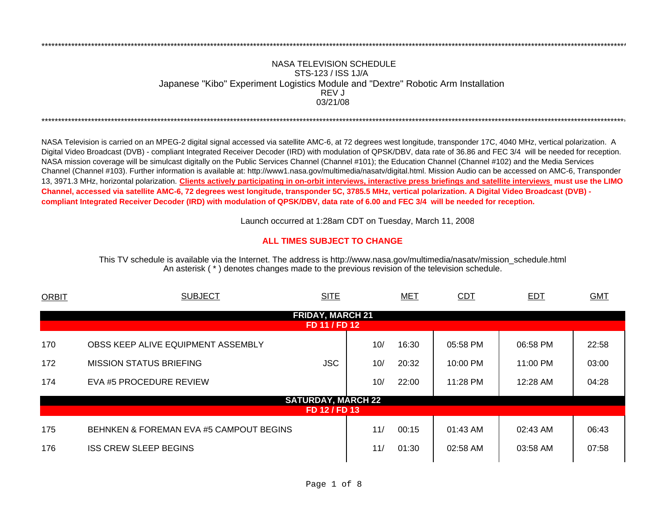## NASA TELEVISION SCHEDULESTS-123 / ISS 1J/A Japanese "Kibo" Experiment Logistics Module and "Dextre" Robotic Arm Installation 03/21/08REV J

\*\*\*\*\*\*\*\*\*\*\*\*\*\*\*\*\*\*\*\*\*\*\*\*\*\*\*\*\*\*\*\*\*\*\*\*\*\*\*\*\*\*\*\*\*\*\*\*\*\*\*\*\*\*\*\*\*\*\*\*\*\*\*\*\*\*\*\*\*\*\*\*\*\*\*\*\*\*\*\*\*\*\*\*\*\*\*\*\*\*\*\*\*\*\*\*\*\*\*\*\*\*\*\*\*\*\*\*\*\*\*\*\*\*\*\*\*\*\*\*\*\*\*\*\*\*\*\*\*\*\*\*\*\*\*\*\*\*\*\*\*\*\*\*\*\*\*\*\*\*\*\*\*\*\*\*\*\*\*\*\*\*\*\*\*\*\*\*\*\*\*\*\*\*\*\*\*

NASA Television is carried on an MPEG-2 digital signal accessed via satellite AMC-6, at 72 degrees west longitude, transponder 17C, 4040 MHz, vertical polarization. A Digital Video Broadcast (DVB) - compliant Integrated Receiver Decoder (IRD) with modulation of QPSK/DBV, data rate of 36.86 and FEC 3/4 will be needed for reception. NASA mission coverage will be simulcast digitally on the Public Services Channel (Channel #101); the Education Channel (Channel #102) and the Media Services Channel (Channel #103). Further information is available at: http://www1.nasa.gov/multimedia/nasatv/digital.html. Mission Audio can be accessed on AMC-6, Transponder 13, 3971.3 MHz, horizontal polarization. **Clients actively participating in on-orbit interviews, interactive press briefings and satellite interviews must use the LIMO Channel, accessed via satellite AMC-6, 72 degrees west longitude, transponder 5C, 3785.5 MHz, vertical polarization. A Digital Video Broadcast (DVB) compliant Integrated Receiver Decoder (IRD) with modulation of QPSK/DBV, data rate of 6.00 and FEC 3/4 will be needed for reception.**

\*\*\*\*\*\*\*\*\*\*\*\*\*\*\*\*\*\*\*\*\*\*\*\*\*\*\*\*\*\*\*\*\*\*\*\*\*\*\*\*\*\*\*\*\*\*\*\*\*\*\*\*\*\*\*\*\*\*\*\*\*\*\*\*\*\*\*\*\*\*\*\*\*\*\*\*\*\*\*\*\*\*\*\*\*\*\*\*\*\*\*\*\*\*\*\*\*\*\*\*\*\*\*\*\*\*\*\*\*\*\*\*\*\*\*\*\*\*\*\*\*\*\*\*\*\*\*\*\*\*\*\*\*\*\*\*\*\*\*\*\*\*\*\*\*\*\*\*\*\*\*\*\*\*\*\*\*\*\*\*\*\*\*\*\*\*\*\*\*\*\*\*\*\*\*\*\*

Launch occurred at 1:28am CDT on Tuesday, March 11, 200 8

## **ALL TIMES SUBJECT TO CHANGE**

An asterisk ( \* ) denotes changes made to the previous revision of the television schedule. This TV schedule is available via the Internet. The address is http://www.nasa.gov/multimedia/nasatv/mission\_schedule.html

| <b>ORBIT</b>            | <b>SUBJECT</b>                          | <b>SITE</b>   |     | <b>MET</b> | <b>CDT</b> | <b>EDT</b> | <b>GMT</b> |  |  |  |
|-------------------------|-----------------------------------------|---------------|-----|------------|------------|------------|------------|--|--|--|
| <b>FRIDAY, MARCH 21</b> |                                         |               |     |            |            |            |            |  |  |  |
| FD 11 / FD 12           |                                         |               |     |            |            |            |            |  |  |  |
| 170                     | OBSS KEEP ALIVE EQUIPMENT ASSEMBLY      |               | 10/ | 16:30      | 05:58 PM   | 06:58 PM   | 22:58      |  |  |  |
| 172                     | <b>MISSION STATUS BRIEFING</b>          | <b>JSC</b>    | 10/ | 20:32      | 10:00 PM   | 11:00 PM   | 03:00      |  |  |  |
| 174                     | EVA #5 PROCEDURE REVIEW                 |               | 10/ | 22:00      | 11:28 PM   | 12:28 AM   | 04:28      |  |  |  |
|                         | <b>SATURDAY, MARCH 22</b>               |               |     |            |            |            |            |  |  |  |
|                         |                                         | FD 12 / FD 13 |     |            |            |            |            |  |  |  |
| 175                     | BEHNKEN & FOREMAN EVA #5 CAMPOUT BEGINS |               | 11/ | 00:15      | 01:43 AM   | 02:43 AM   | 06:43      |  |  |  |
| 176                     | <b>ISS CREW SLEEP BEGINS</b>            |               | 11/ | 01:30      | 02:58 AM   | 03:58 AM   | 07:58      |  |  |  |
|                         |                                         |               |     |            |            |            |            |  |  |  |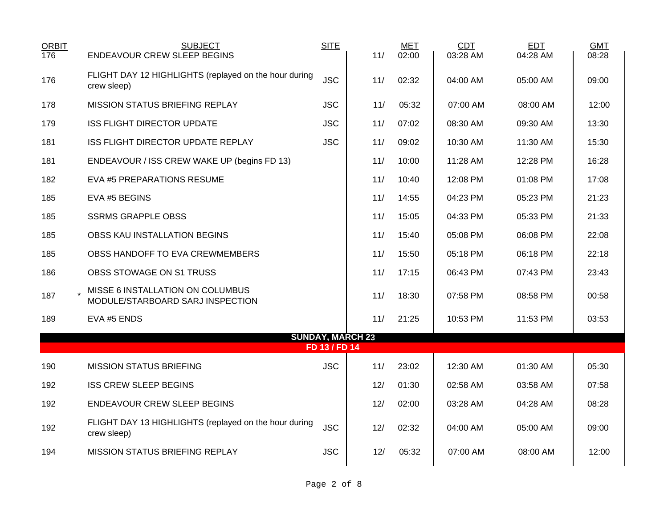| <b>ORBIT</b> | <b>SUBJECT</b>                                                       | <b>SITE</b>   |                         | <b>MET</b> | CDT      | <b>EDT</b> | <b>GMT</b> |
|--------------|----------------------------------------------------------------------|---------------|-------------------------|------------|----------|------------|------------|
| 176          | <b>ENDEAVOUR CREW SLEEP BEGINS</b>                                   |               | 11/                     | 02:00      | 03:28 AM | 04:28 AM   | 08:28      |
| 176          | FLIGHT DAY 12 HIGHLIGHTS (replayed on the hour during<br>crew sleep) | <b>JSC</b>    | 11/                     | 02:32      | 04:00 AM | 05:00 AM   | 09:00      |
| 178          | <b>MISSION STATUS BRIEFING REPLAY</b>                                | <b>JSC</b>    | 11/                     | 05:32      | 07:00 AM | 08:00 AM   | 12:00      |
| 179          | <b>ISS FLIGHT DIRECTOR UPDATE</b>                                    | <b>JSC</b>    | 11/                     | 07:02      | 08:30 AM | 09:30 AM   | 13:30      |
| 181          | ISS FLIGHT DIRECTOR UPDATE REPLAY                                    | <b>JSC</b>    | 11/                     | 09:02      | 10:30 AM | 11:30 AM   | 15:30      |
| 181          | ENDEAVOUR / ISS CREW WAKE UP (begins FD 13)                          |               | 11/                     | 10:00      | 11:28 AM | 12:28 PM   | 16:28      |
| 182          | EVA #5 PREPARATIONS RESUME                                           |               | 11/                     | 10:40      | 12:08 PM | 01:08 PM   | 17:08      |
| 185          | EVA #5 BEGINS                                                        |               | 11/                     | 14:55      | 04:23 PM | 05:23 PM   | 21:23      |
| 185          | <b>SSRMS GRAPPLE OBSS</b>                                            |               | 11/                     | 15:05      | 04:33 PM | 05:33 PM   | 21:33      |
| 185          | OBSS KAU INSTALLATION BEGINS                                         |               | 11/                     | 15:40      | 05:08 PM | 06:08 PM   | 22:08      |
| 185          | OBSS HANDOFF TO EVA CREWMEMBERS                                      |               | 11/                     | 15:50      | 05:18 PM | 06:18 PM   | 22:18      |
| 186          | OBSS STOWAGE ON S1 TRUSS                                             |               | 11/                     | 17:15      | 06:43 PM | 07:43 PM   | 23:43      |
| 187          | MISSE 6 INSTALLATION ON COLUMBUS<br>MODULE/STARBOARD SARJ INSPECTION |               | 11/                     | 18:30      | 07:58 PM | 08:58 PM   | 00:58      |
| 189          | EVA #5 ENDS                                                          |               | 11/                     | 21:25      | 10:53 PM | 11:53 PM   | 03:53      |
|              |                                                                      |               | <b>SUNDAY, MARCH 23</b> |            |          |            |            |
|              |                                                                      | FD 13 / FD 14 |                         |            |          |            |            |
| 190          | <b>MISSION STATUS BRIEFING</b>                                       | <b>JSC</b>    | 11/                     | 23:02      | 12:30 AM | 01:30 AM   | 05:30      |
| 192          | <b>ISS CREW SLEEP BEGINS</b>                                         |               | 12/                     | 01:30      | 02:58 AM | 03:58 AM   | 07:58      |
| 192          | <b>ENDEAVOUR CREW SLEEP BEGINS</b>                                   |               | 12/                     | 02:00      | 03:28 AM | 04:28 AM   | 08:28      |
| 192          | FLIGHT DAY 13 HIGHLIGHTS (replayed on the hour during<br>crew sleep) | <b>JSC</b>    | 12/                     | 02:32      | 04:00 AM | 05:00 AM   | 09:00      |
| 194          | MISSION STATUS BRIEFING REPLAY                                       | <b>JSC</b>    | 12/                     | 05:32      | 07:00 AM | 08:00 AM   | 12:00      |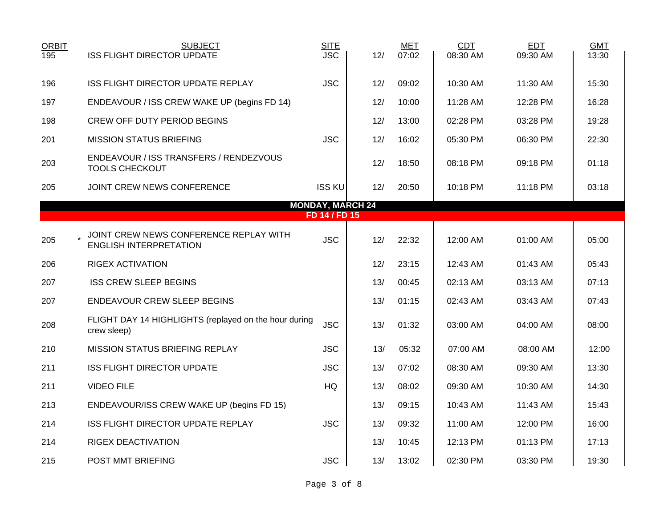| ORBIT<br>195 | <b>SUBJECT</b><br><b>ISS FLIGHT DIRECTOR UPDATE</b>                     | <b>SITE</b><br><b>JSC</b> | 12/ | <b>MET</b><br>07:02 | CDT<br>08:30 AM | <b>EDT</b><br>09:30 AM | <b>GMT</b><br>13:30 |
|--------------|-------------------------------------------------------------------------|---------------------------|-----|---------------------|-----------------|------------------------|---------------------|
|              |                                                                         |                           |     |                     |                 |                        |                     |
| 196          | ISS FLIGHT DIRECTOR UPDATE REPLAY                                       | <b>JSC</b>                | 12/ | 09:02               | 10:30 AM        | 11:30 AM               | 15:30               |
| 197          | ENDEAVOUR / ISS CREW WAKE UP (begins FD 14)                             |                           | 12/ | 10:00               | 11:28 AM        | 12:28 PM               | 16:28               |
| 198          | <b>CREW OFF DUTY PERIOD BEGINS</b>                                      |                           | 12/ | 13:00               | 02:28 PM        | 03:28 PM               | 19:28               |
| 201          | <b>MISSION STATUS BRIEFING</b>                                          | <b>JSC</b>                | 12/ | 16:02               | 05:30 PM        | 06:30 PM               | 22:30               |
| 203          | ENDEAVOUR / ISS TRANSFERS / RENDEZVOUS<br><b>TOOLS CHECKOUT</b>         |                           | 12/ | 18:50               | 08:18 PM        | 09:18 PM               | 01:18               |
| 205          | JOINT CREW NEWS CONFERENCE                                              | <b>ISS KU</b>             | 12/ | 20:50               | 10:18 PM        | 11:18 PM               | 03:18               |
|              |                                                                         | <b>MONDAY, MARCH 24</b>   |     |                     |                 |                        |                     |
|              |                                                                         | FD 14 / FD 15             |     |                     |                 |                        |                     |
| 205          | JOINT CREW NEWS CONFERENCE REPLAY WITH<br><b>ENGLISH INTERPRETATION</b> | <b>JSC</b>                | 12/ | 22:32               | 12:00 AM        | 01:00 AM               | 05:00               |
| 206          | <b>RIGEX ACTIVATION</b>                                                 |                           | 12/ | 23:15               | 12:43 AM        | 01:43 AM               | 05:43               |
| 207          | <b>ISS CREW SLEEP BEGINS</b>                                            |                           | 13/ | 00:45               | 02:13 AM        | 03:13 AM               | 07:13               |
| 207          | <b>ENDEAVOUR CREW SLEEP BEGINS</b>                                      |                           | 13/ | 01:15               | 02:43 AM        | 03:43 AM               | 07:43               |
| 208          | FLIGHT DAY 14 HIGHLIGHTS (replayed on the hour during<br>crew sleep)    | <b>JSC</b>                | 13/ | 01:32               | 03:00 AM        | 04:00 AM               | 08:00               |
| 210          | <b>MISSION STATUS BRIEFING REPLAY</b>                                   | <b>JSC</b>                | 13/ | 05:32               | 07:00 AM        | 08:00 AM               | 12:00               |
| 211          | <b>ISS FLIGHT DIRECTOR UPDATE</b>                                       | <b>JSC</b>                | 13/ | 07:02               | 08:30 AM        | 09:30 AM               | 13:30               |
| 211          | <b>VIDEO FILE</b>                                                       | HQ                        | 13/ | 08:02               | 09:30 AM        | 10:30 AM               | 14:30               |
| 213          | ENDEAVOUR/ISS CREW WAKE UP (begins FD 15)                               |                           | 13/ | 09:15               | 10:43 AM        | 11:43 AM               | 15:43               |
| 214          | ISS FLIGHT DIRECTOR UPDATE REPLAY                                       | <b>JSC</b>                | 13/ | 09:32               | 11:00 AM        | 12:00 PM               | 16:00               |
| 214          | RIGEX DEACTIVATION                                                      |                           | 13/ | 10:45               | 12:13 PM        | 01:13 PM               | 17:13               |
| 215          | POST MMT BRIEFING                                                       | <b>JSC</b>                | 13/ | 13:02               | 02:30 PM        | 03:30 PM               | 19:30               |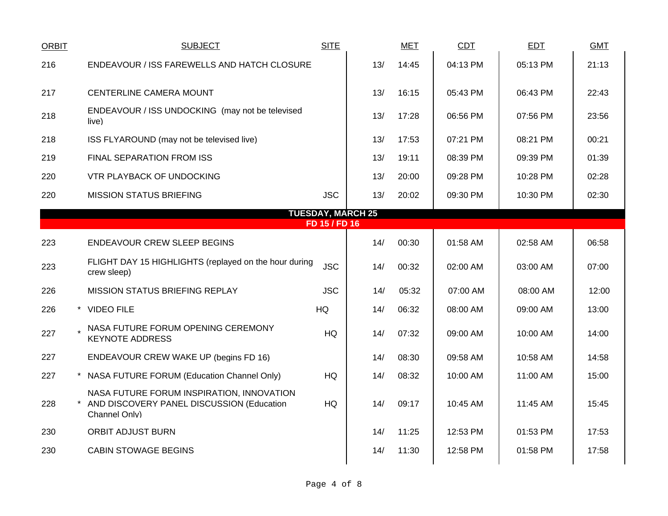| <b>ORBIT</b> | <b>SUBJECT</b>                                                                                            | <b>SITE</b>   |                          | <b>MET</b> | CDT      | <b>EDT</b> | <b>GMT</b> |
|--------------|-----------------------------------------------------------------------------------------------------------|---------------|--------------------------|------------|----------|------------|------------|
| 216          | ENDEAVOUR / ISS FAREWELLS AND HATCH CLOSURE                                                               |               | 13/                      | 14:45      | 04:13 PM | 05:13 PM   | 21:13      |
| 217          | CENTERLINE CAMERA MOUNT                                                                                   |               | 13/                      | 16:15      | 05:43 PM | 06:43 PM   | 22:43      |
| 218          | ENDEAVOUR / ISS UNDOCKING (may not be televised<br>live)                                                  |               | 13/                      | 17:28      | 06:56 PM | 07:56 PM   | 23:56      |
| 218          | ISS FLYAROUND (may not be televised live)                                                                 |               | 13/                      | 17:53      | 07:21 PM | 08:21 PM   | 00:21      |
| 219          | FINAL SEPARATION FROM ISS                                                                                 |               | 13/                      | 19:11      | 08:39 PM | 09:39 PM   | 01:39      |
| 220          | VTR PLAYBACK OF UNDOCKING                                                                                 |               | 13/                      | 20:00      | 09:28 PM | 10:28 PM   | 02:28      |
| 220          | <b>MISSION STATUS BRIEFING</b>                                                                            | <b>JSC</b>    | 13/                      | 20:02      | 09:30 PM | 10:30 PM   | 02:30      |
|              |                                                                                                           |               | <b>TUESDAY, MARCH 25</b> |            |          |            |            |
|              |                                                                                                           | FD 15 / FD 16 |                          |            |          |            |            |
| 223          | <b>ENDEAVOUR CREW SLEEP BEGINS</b>                                                                        |               | 14/                      | 00:30      | 01:58 AM | 02:58 AM   | 06:58      |
| 223          | FLIGHT DAY 15 HIGHLIGHTS (replayed on the hour during<br>crew sleep)                                      | <b>JSC</b>    | 14/                      | 00:32      | 02:00 AM | 03:00 AM   | 07:00      |
| 226          | <b>MISSION STATUS BRIEFING REPLAY</b>                                                                     | <b>JSC</b>    | 14/                      | 05:32      | 07:00 AM | 08:00 AM   | 12:00      |
| 226          | * VIDEO FILE                                                                                              | HQ            | 14/                      | 06:32      | 08:00 AM | 09:00 AM   | 13:00      |
| 227          | . NASA FUTURE FORUM OPENING CEREMONY<br><b>KEYNOTE ADDRESS</b>                                            | <b>HQ</b>     | 14/                      | 07:32      | 09:00 AM | 10:00 AM   | 14:00      |
| 227          | ENDEAVOUR CREW WAKE UP (begins FD 16)                                                                     |               | 14/                      | 08:30      | 09:58 AM | 10:58 AM   | 14:58      |
| 227          | * NASA FUTURE FORUM (Education Channel Only)                                                              | HQ            | 14/                      | 08:32      | 10:00 AM | 11:00 AM   | 15:00      |
| 228          | NASA FUTURE FORUM INSPIRATION, INNOVATION<br>* AND DISCOVERY PANEL DISCUSSION (Education<br>Channel Only) | HQ            | 14/                      | 09:17      | 10:45 AM | 11:45 AM   | 15:45      |
| 230          | ORBIT ADJUST BURN                                                                                         |               | 14/                      | 11:25      | 12:53 PM | 01:53 PM   | 17:53      |
| 230          | <b>CABIN STOWAGE BEGINS</b>                                                                               |               | 14/                      | 11:30      | 12:58 PM | 01:58 PM   | 17:58      |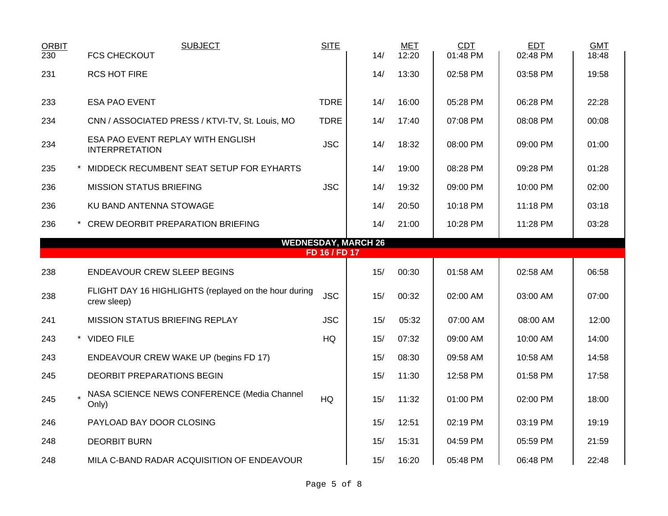| <b>ORBIT</b><br>230 | <b>SUBJECT</b><br><b>FCS CHECKOUT</b>                                | <b>SITE</b>   | 14/                        | <b>MET</b><br>12:20 | <b>CDT</b><br>01:48 PM | <b>EDT</b><br>02:48 PM | <b>GMT</b><br>18:48 |
|---------------------|----------------------------------------------------------------------|---------------|----------------------------|---------------------|------------------------|------------------------|---------------------|
| 231                 | <b>RCS HOT FIRE</b>                                                  |               | 14/                        | 13:30               | 02:58 PM               | 03:58 PM               | 19:58               |
| 233                 | <b>ESA PAO EVENT</b>                                                 | <b>TDRE</b>   | 14/                        | 16:00               | 05:28 PM               | 06:28 PM               | 22:28               |
|                     |                                                                      |               |                            |                     |                        |                        |                     |
| 234                 | CNN / ASSOCIATED PRESS / KTVI-TV, St. Louis, MO                      | <b>TDRE</b>   | 14/                        | 17:40               | 07:08 PM               | 08:08 PM               | 00:08               |
| 234                 | ESA PAO EVENT REPLAY WITH ENGLISH<br><b>INTERPRETATION</b>           | <b>JSC</b>    | 14/                        | 18:32               | 08:00 PM               | 09:00 PM               | 01:00               |
| 235                 | MIDDECK RECUMBENT SEAT SETUP FOR EYHARTS                             |               | 14/                        | 19:00               | 08:28 PM               | 09:28 PM               | 01:28               |
| 236                 | <b>MISSION STATUS BRIEFING</b>                                       | <b>JSC</b>    | 14/                        | 19:32               | 09:00 PM               | 10:00 PM               | 02:00               |
| 236                 | KU BAND ANTENNA STOWAGE                                              |               | 14/                        | 20:50               | 10:18 PM               | 11:18 PM               | 03:18               |
| 236                 | * CREW DEORBIT PREPARATION BRIEFING                                  |               | 14/                        | 21:00               | 10:28 PM               | 11:28 PM               | 03:28               |
|                     |                                                                      |               | <b>WEDNESDAY, MARCH 26</b> |                     |                        |                        |                     |
|                     |                                                                      | FD 16 / FD 17 |                            |                     |                        |                        |                     |
| 238                 | ENDEAVOUR CREW SLEEP BEGINS                                          |               | 15/                        | 00:30               | 01:58 AM               | 02:58 AM               | 06:58               |
| 238                 | FLIGHT DAY 16 HIGHLIGHTS (replayed on the hour during<br>crew sleep) | <b>JSC</b>    | 15/                        | 00:32               | 02:00 AM               | 03:00 AM               | 07:00               |
| 241                 | <b>MISSION STATUS BRIEFING REPLAY</b>                                | <b>JSC</b>    | 15/                        | 05:32               | 07:00 AM               | 08:00 AM               | 12:00               |
| 243                 | * VIDEO FILE                                                         | HQ            | 15/                        | 07:32               | 09:00 AM               | 10:00 AM               | 14:00               |
| 243                 | ENDEAVOUR CREW WAKE UP (begins FD 17)                                |               | 15/                        | 08:30               | 09:58 AM               | 10:58 AM               | 14:58               |
| 245                 | <b>DEORBIT PREPARATIONS BEGIN</b>                                    |               | 15/                        | 11:30               | 12:58 PM               | 01:58 PM               | 17:58               |
| 245                 | NASA SCIENCE NEWS CONFERENCE (Media Channel<br>Only)                 | HQ            | 15/                        | 11:32               | 01:00 PM               | 02:00 PM               | 18:00               |
| 246                 | PAYLOAD BAY DOOR CLOSING                                             |               | 15/                        | 12:51               | 02:19 PM               | 03:19 PM               | 19:19               |
| 248                 | <b>DEORBIT BURN</b>                                                  |               | 15/                        | 15:31               | 04:59 PM               | 05:59 PM               | 21:59               |
| 248                 | MILA C-BAND RADAR ACQUISITION OF ENDEAVOUR                           |               | 15/                        | 16:20               | 05:48 PM               | 06:48 PM               | 22:48               |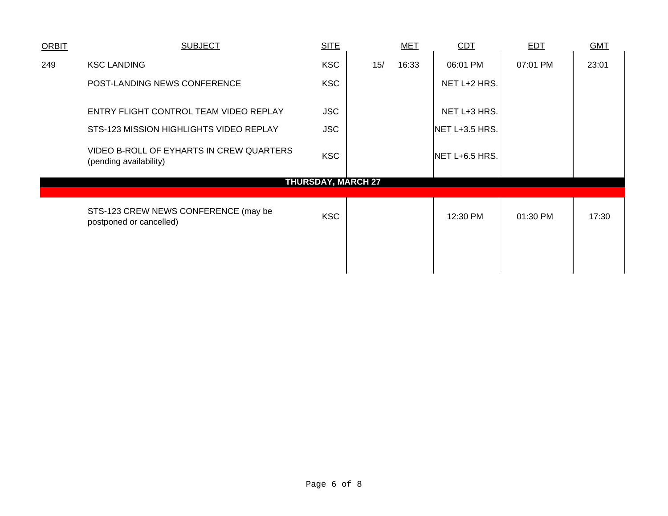| <b>ORBIT</b> | <b>SUBJECT</b>                                                     | <b>SITE</b>               |     | <b>MET</b> | CDT            | <b>EDT</b> | <b>GMT</b> |
|--------------|--------------------------------------------------------------------|---------------------------|-----|------------|----------------|------------|------------|
| 249          | <b>KSC LANDING</b>                                                 | <b>KSC</b>                | 15/ | 16:33      | 06:01 PM       | 07:01 PM   | 23:01      |
|              | POST-LANDING NEWS CONFERENCE                                       | <b>KSC</b>                |     |            | NET L+2 HRS.   |            |            |
|              | ENTRY FLIGHT CONTROL TEAM VIDEO REPLAY                             | <b>JSC</b>                |     |            | NET L+3 HRS.   |            |            |
|              | STS-123 MISSION HIGHLIGHTS VIDEO REPLAY                            | <b>JSC</b>                |     |            | NET L+3.5 HRS. |            |            |
|              | VIDEO B-ROLL OF EYHARTS IN CREW QUARTERS<br>(pending availability) | <b>KSC</b>                |     |            | NET L+6.5 HRS. |            |            |
|              |                                                                    | <b>THURSDAY, MARCH 27</b> |     |            |                |            |            |
|              | STS-123 CREW NEWS CONFERENCE (may be<br>postponed or cancelled)    | <b>KSC</b>                |     |            | 12:30 PM       | 01:30 PM   | 17:30      |
|              |                                                                    |                           |     |            |                |            |            |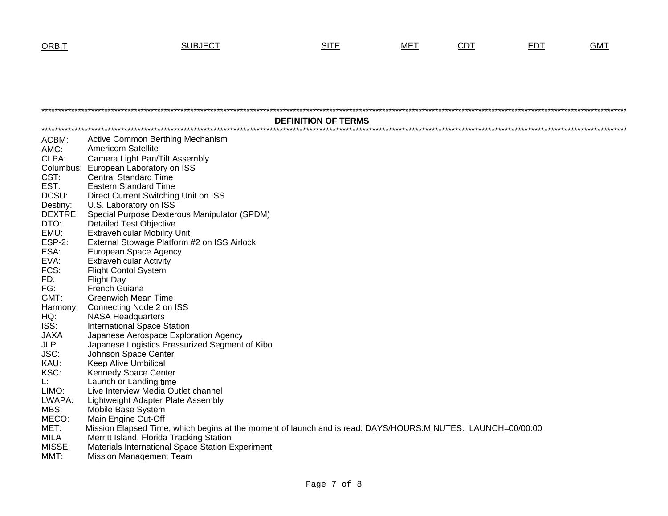## T SUBJECT SITE MET <u>CDT</u> <u>EDT</u> GMT

|               | <b>DEFINITION OF TERMS</b>                                                                                  |
|---------------|-------------------------------------------------------------------------------------------------------------|
|               |                                                                                                             |
| ACBM:         | Active Common Berthing Mechanism                                                                            |
| AMC:          | <b>Americom Satellite</b>                                                                                   |
| CLPA:         | Camera Light Pan/Tilt Assembly                                                                              |
| CST:          | Columbus: European Laboratory on ISS                                                                        |
| EST:          | <b>Central Standard Time</b><br><b>Eastern Standard Time</b>                                                |
| DCSU:         | Direct Current Switching Unit on ISS                                                                        |
| Destiny:      | U.S. Laboratory on ISS                                                                                      |
| DEXTRE:       | Special Purpose Dexterous Manipulator (SPDM)                                                                |
| DTO:          | <b>Detailed Test Objective</b>                                                                              |
| EMU:          | <b>Extravehicular Mobility Unit</b>                                                                         |
| <b>ESP-2:</b> | External Stowage Platform #2 on ISS Airlock                                                                 |
| ESA:          | European Space Agency                                                                                       |
| EVA:          | <b>Extravehicular Activity</b>                                                                              |
| FCS:          | <b>Flight Contol System</b>                                                                                 |
| FD:           | <b>Flight Day</b>                                                                                           |
| FG:           | <b>French Guiana</b>                                                                                        |
| GMT:          | <b>Greenwich Mean Time</b>                                                                                  |
| Harmony:      | Connecting Node 2 on ISS                                                                                    |
| HQ:           | <b>NASA Headquarters</b>                                                                                    |
| ISS:          | <b>International Space Station</b>                                                                          |
| <b>JAXA</b>   | Japanese Aerospace Exploration Agency                                                                       |
| JLP           | Japanese Logistics Pressurized Segment of Kibo                                                              |
| JSC:          | Johnson Space Center                                                                                        |
| KAU:          | <b>Keep Alive Umbilical</b>                                                                                 |
| KSC:          | Kennedy Space Center                                                                                        |
| Ŀ.            | Launch or Landing time                                                                                      |
| LIMO:         | Live Interview Media Outlet channel                                                                         |
| LWAPA:        | Lightweight Adapter Plate Assembly                                                                          |
| MBS:          | Mobile Base System                                                                                          |
| MECO:         | Main Engine Cut-Off                                                                                         |
| MET:          | Mission Elapsed Time, which begins at the moment of launch and is read: DAYS/HOURS:MINUTES. LAUNCH=00/00:00 |
| <b>MILA</b>   | Merritt Island, Florida Tracking Station                                                                    |
| MISSE:        | Materials International Space Station Experiment                                                            |
| MMT:          | <b>Mission Management Team</b>                                                                              |